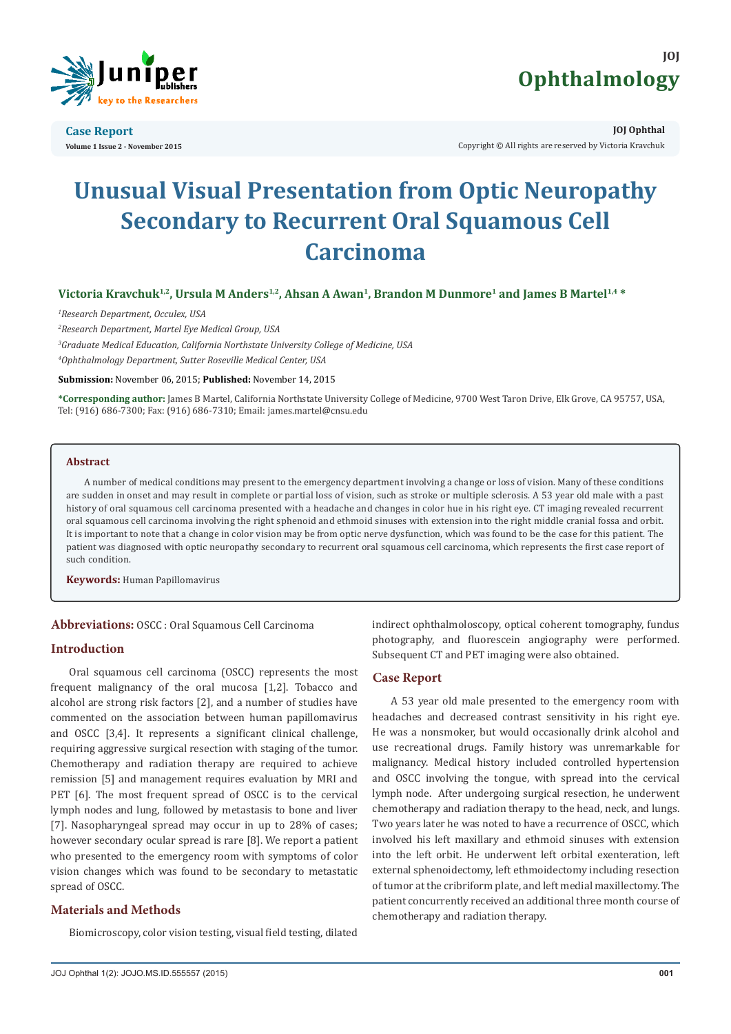

**Case Report Volume 1 Issue 2 - November 2015**



**JOJ Ophthal** Copyright © All rights are reserved by Victoria Kravchuk

# **Unusual Visual Presentation from Optic Neuropathy Secondary to Recurrent Oral Squamous Cell Carcinoma**

## Victoria Kravchuk<sup>1,2</sup>, Ursula M Anders<sup>1,2</sup>, Ahsan A Awan<sup>1</sup>, Brandon M Dunmore<sup>1</sup> and James B Martel<sup>1,4</sup> \*

*1 Research Department, Occulex, USA*

*2 Research Department, Martel Eye Medical Group, USA*

*3 Graduate Medical Education, California Northstate University College of Medicine, USA 4 Ophthalmology Department, Sutter Roseville Medical Center, USA*

**Submission:** November 06, 2015; **Published:** November 14, 2015

**\*Corresponding author:** James B Martel, California Northstate University College of Medicine, 9700 West Taron Drive, Elk Grove, CA 95757, USA, Tel: (916) 686-7300; Fax: (916) 686-7310; Email:

#### **Abstract**

A number of medical conditions may present to the emergency department involving a change or loss of vision. Many of these conditions are sudden in onset and may result in complete or partial loss of vision, such as stroke or multiple sclerosis. A 53 year old male with a past history of oral squamous cell carcinoma presented with a headache and changes in color hue in his right eye. CT imaging revealed recurrent oral squamous cell carcinoma involving the right sphenoid and ethmoid sinuses with extension into the right middle cranial fossa and orbit. It is important to note that a change in color vision may be from optic nerve dysfunction, which was found to be the case for this patient. The patient was diagnosed with optic neuropathy secondary to recurrent oral squamous cell carcinoma, which represents the first case report of such condition.

**Keywords:** Human Papillomavirus

**Abbreviations:** OSCC : Oral Squamous Cell Carcinoma

#### **Introduction**

Oral squamous cell carcinoma (OSCC) represents the most frequent malignancy of the oral mucosa [1,2]. Tobacco and alcohol are strong risk factors [2], and a number of studies have commented on the association between human papillomavirus and OSCC [3,4]. It represents a significant clinical challenge, requiring aggressive surgical resection with staging of the tumor. Chemotherapy and radiation therapy are required to achieve remission [5] and management requires evaluation by MRI and PET [6]. The most frequent spread of OSCC is to the cervical lymph nodes and lung, followed by metastasis to bone and liver [7]. Nasopharyngeal spread may occur in up to 28% of cases; however secondary ocular spread is rare [8]. We report a patient who presented to the emergency room with symptoms of color vision changes which was found to be secondary to metastatic spread of OSCC.

## **Materials and Methods**

Biomicroscopy, color vision testing, visual field testing, dilated

indirect ophthalmoloscopy, optical coherent tomography, fundus photography, and fluorescein angiography were performed. Subsequent CT and PET imaging were also obtained.

## **Case Report**

A 53 year old male presented to the emergency room with headaches and decreased contrast sensitivity in his right eye. He was a nonsmoker, but would occasionally drink alcohol and use recreational drugs. Family history was unremarkable for malignancy. Medical history included controlled hypertension and OSCC involving the tongue, with spread into the cervical lymph node. After undergoing surgical resection, he underwent chemotherapy and radiation therapy to the head, neck, and lungs. Two years later he was noted to have a recurrence of OSCC, which involved his left maxillary and ethmoid sinuses with extension into the left orbit. He underwent left orbital exenteration, left external sphenoidectomy, left ethmoidectomy including resection of tumor at the cribriform plate, and left medial maxillectomy. The patient concurrently received an additional three month course of chemotherapy and radiation therapy.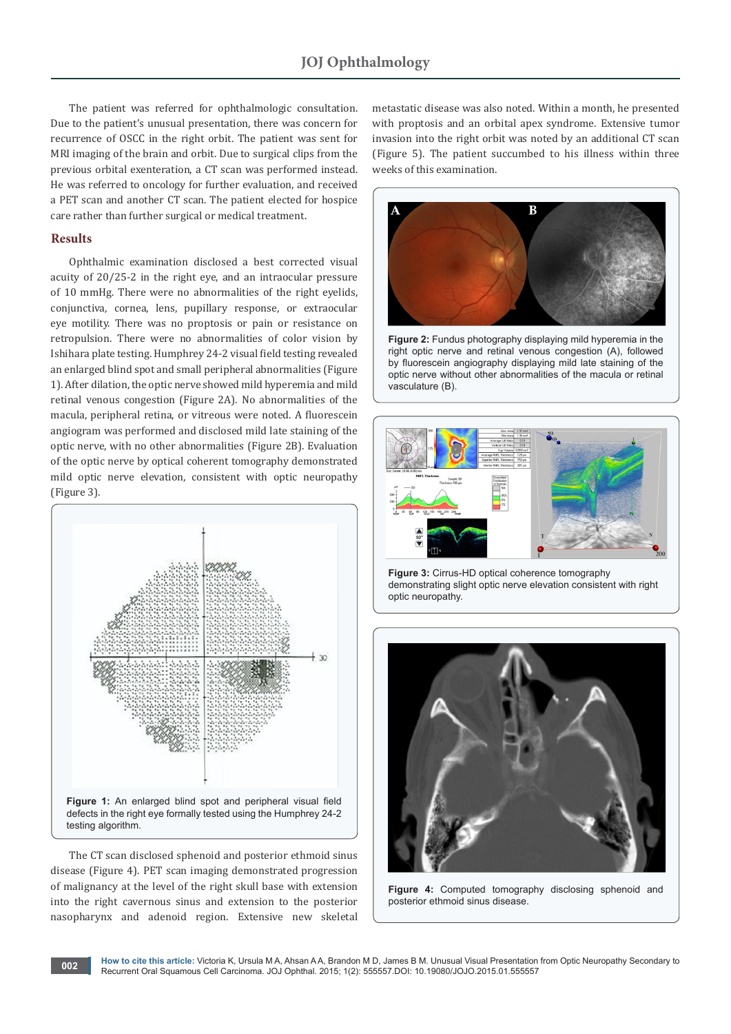The patient was referred for ophthalmologic consultation. Due to the patient's unusual presentation, there was concern for recurrence of OSCC in the right orbit. The patient was sent for MRI imaging of the brain and orbit. Due to surgical clips from the previous orbital exenteration, a CT scan was performed instead. He was referred to oncology for further evaluation, and received a PET scan and another CT scan. The patient elected for hospice care rather than further surgical or medical treatment.

#### **Results**

Ophthalmic examination disclosed a best corrected visual acuity of 20/25-2 in the right eye, and an intraocular pressure of 10 mmHg. There were no abnormalities of the right eyelids, conjunctiva, cornea, lens, pupillary response, or extraocular eye motility. There was no proptosis or pain or resistance on retropulsion. There were no abnormalities of color vision by Ishihara plate testing. Humphrey 24-2 visual field testing revealed an enlarged blind spot and small peripheral abnormalities (Figure 1). After dilation, the optic nerve showed mild hyperemia and mild retinal venous congestion (Figure 2A). No abnormalities of the macula, peripheral retina, or vitreous were noted. A fluorescein angiogram was performed and disclosed mild late staining of the optic nerve, with no other abnormalities (Figure 2B). Evaluation of the optic nerve by optical coherent tomography demonstrated mild optic nerve elevation, consistent with optic neuropathy (Figure 3).



The CT scan disclosed sphenoid and posterior ethmoid sinus disease (Figure 4). PET scan imaging demonstrated progression of malignancy at the level of the right skull base with extension into the right cavernous sinus and extension to the posterior nasopharynx and adenoid region. Extensive new skeletal metastatic disease was also noted. Within a month, he presented with proptosis and an orbital apex syndrome. Extensive tumor invasion into the right orbit was noted by an additional CT scan (Figure 5). The patient succumbed to his illness within three weeks of this examination.



**Figure 2:** Fundus photography displaying mild hyperemia in the right optic nerve and retinal venous congestion (A), followed by fluorescein angiography displaying mild late staining of the optic nerve without other abnormalities of the macula or retinal vasculature (B).



**Figure 3:** Cirrus-HD optical coherence tomography demonstrating slight optic nerve elevation consistent with right optic neuropathy.



**Figure 4:** Computed tomography disclosing sphenoid and posterior ethmoid sinus disease.